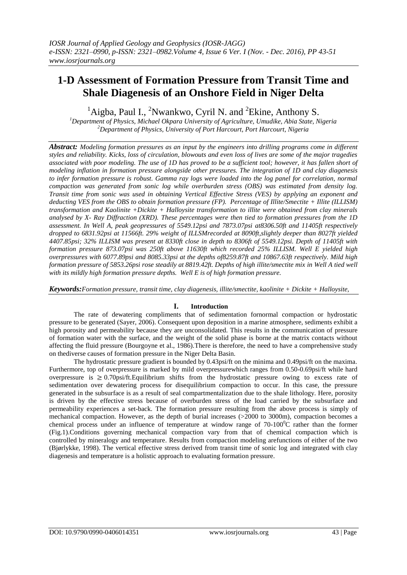# **1-D Assessment of Formation Pressure from Transit Time and Shale Diagenesis of an Onshore Field in Niger Delta**

<sup>1</sup>Aigba, Paul I., <sup>2</sup>Nwankwo, Cyril N. and <sup>2</sup>Ekine, Anthony S.

*<sup>1</sup>Department of Physics, Michael Okpara University of Agriculture, Umudike, Abia State, Nigeria <sup>2</sup>Department of Physics, University of Port Harcourt, Port Harcourt, Nigeria*

*Abstract: Modeling formation pressures as an input by the engineers into drilling programs come in different styles and reliability. Kicks, loss of circulation, blowouts and even loss of lives are some of the major tragedies associated with poor modeling. The use of 1D has proved to be a sufficient tool; however, it has fallen short of modeling inflation in formation pressure alongside other pressures. The integration of 1D and clay diagenesis to infer formation pressure is robust. Gamma ray logs were loaded into the log panel for correlation, normal compaction was generated from sonic log while overburden stress (OBS) was estimated from density log. Transit time from sonic was used in obtaining Vertical Effective Stress (VES) by applying an exponent and deducting VES from the OBS to obtain formation pressure (FP). Percentage of Illite/Smectite + Illite (ILLISM) transformation and Kaolinite +Dickite + Halloysite transformation to illite were obtained from clay minerals analysed by X- Ray Diffraction (XRD). These percentages were then tied to formation pressures from the 1D*  assessment. In Well A, peak geopressures of 5549.12psi and 7873.07psi at8306.50ft and 11405ft respectively *dropped to 6831.92psi at 11566ft. 29% weight of ILLSMrecorded at 8090ft,slightly deeper than 8027ft yielded 4407.85psi; 32% ILLISM was present at 8330ft close in depth to 8306ft of 5549.12psi. Depth of 11405ft with formation pressure 873.07psi was 250ft above 11630ft which recorded 25% ILLISM. Well E yielded high overpressures with 6077.89psi and 8085.33psi at the depths of8259.87ft and 10867.63ft respectively. Mild high formation pressure of 5853.26psi rose steadily at 8819.42ft. Depths of high illite/smectite mix in Well A tied well with its mildly high formation pressure depths. Well E is of high formation pressure.*

*Keywords:Formation pressure, transit time, clay diagenesis, illite/smectite, kaolinite + Dickite + Halloysite,*

### **I. Introduction**

The rate of dewatering compliments that of sedimentation fornormal compaction or hydrostatic pressure to be generated (Sayer, 2006). Consequent upon deposition in a marine atmosphere, sediments exhibit a high porosity and permeability because they are unconsolidated. This results in the communication of pressure of formation water with the surface, and the weight of the solid phase is borne at the matrix contacts without affecting the fluid pressure (Bourgoyne et al., 1986).There is therefore, the need to have a comprehensive study on thediverse causes of formation pressure in the Niger Delta Basin.

The hydrostatic pressure gradient is bounded by 0.43psi/ft on the minima and 0.49psi/ft on the maxima. Furthermore, top of overpressure is marked by mild overpressurewhich ranges from 0.50-0.69psi/ft while hard overpressure is  $\geq 0.70$ psi/ft.Equilibrium shifts from the hydrostatic pressure owing to excess rate of sedimentation over dewatering process for disequilibrium compaction to occur. In this case, the pressure generated in the subsurface is as a result of seal compartmentalization due to the shale lithology. Here, porosity is driven by the effective stress because of overburden stress of the load carried by the subsurface and permeability experiences a set-back. The formation pressure resulting from the above process is simply of mechanical compaction. However, as the depth of burial increases (>2000 to 3000m), compaction becomes a chemical process under an influence of temperature at window range of  $70{\text -}100^{\circ}\text{C}$  rather than the former (Fig.1).Conditions governing mechanical compaction vary from that of chemical compaction which is controlled by mineralogy and temperature. Results from compaction modeling arefunctions of either of the two (Bjørlykke, 1998). The vertical effective stress derived from transit time of sonic log and integrated with clay diagenesis and temperature is a holistic approach to evaluating formation pressure.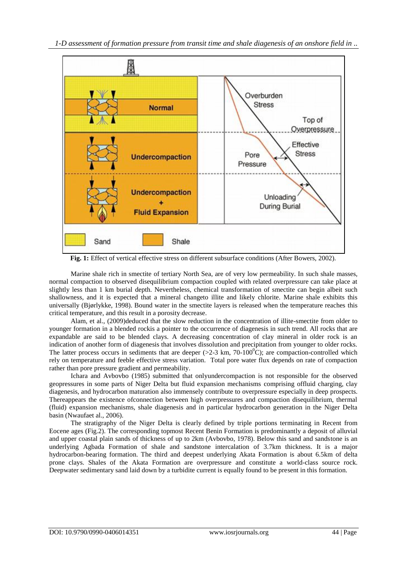

Fig. 1: Effect of vertical effective stress on different subsurface conditions (After Bowers, 2002).

Marine shale rich in smectite of tertiary North Sea, are of very low permeability. In such shale masses, normal compaction to observed disequilibrium compaction coupled with related overpressure can take place at slightly less than 1 km burial depth. Nevertheless, chemical transformation of smectite can begin albeit such shallowness, and it is expected that a mineral changeto illite and likely chlorite. Marine shale exhibits this universally (Bjørlykke, 1998). Bound water in the smectite layers is released when the temperature reaches this critical temperature, and this result in a porosity decrease.

Alam, et al., (2009)deduced that the slow reduction in the concentration of illite-smectite from older to younger formation in a blended rockis a pointer to the occurrence of diagenesis in such trend. All rocks that are expandable are said to be blended clays. A decreasing concentration of clay mineral in older rock is an indication of another form of diagenesis that involves dissolution and precipitation from younger to older rocks. The latter process occurs in sediments that are deeper ( $>2-3$  km, 70-100<sup>0</sup>C); are compaction-controlled which rely on temperature and feeble effective stress variation. Total pore water flux depends on rate of compaction rather than pore pressure gradient and permeability.

Ichara and Avbovbo (1985) submitted that onlyundercompaction is not responsible for the observed geopressures in some parts of Niger Delta but fluid expansion mechanisms comprising offluid charging, clay diagenesis, and hydrocarbon maturation also immensely contribute to overpressure especially in deep prospects. Thereappears the existence ofconnection between high overpressures and compaction disequilibrium, thermal (fluid) expansion mechanisms, shale diagenesis and in particular hydrocarbon generation in the Niger Delta basin (Nwaufaet al., 2006).

The stratigraphy of the Niger Delta is clearly defined by triple portions terminating in Recent from Eocene ages (Fig.2). The corresponding topmost Recent Benin Formation is predominantly a deposit of alluvial and upper coastal plain sands of thickness of up to 2km (Avbovbo, 1978). Below this sand and sandstone is an underlying Agbada Formation of shale and sandstone intercalation of 3.7km thickness. It is a major hydrocarbon-bearing formation. The third and deepest underlying Akata Formation is about 6.5km of delta prone clays. Shales of the Akata Formation are overpressure and constitute a world-class source rock. Deepwater sedimentary sand laid down by a turbidite current is equally found to be present in this formation.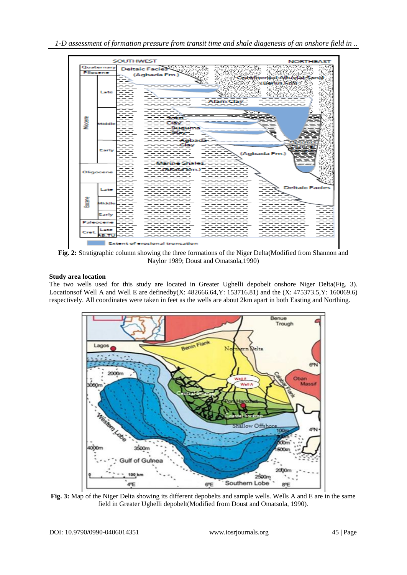*1-D assessment of formation pressure from transit time and shale diagenesis of an onshore field in ..*



**Fig. 2:** Stratigraphic column showing the three formations of the Niger Delta(Modified from Shannon and Naylor 1989; Doust and Omatsola,1990)

## **Study area location**

The two wells used for this study are located in Greater Ughelli depobelt onshore Niger Delta(Fig. 3). Locationsof Well A and Well E are definedby(X: 482666.64,Y: 153716.81) and the (X: 475373.5,Y: 160069.6) respectively. All coordinates were taken in feet as the wells are about 2km apart in both Easting and Northing.



**Fig. 3:** Map of the Niger Delta showing its different depobelts and sample wells. Wells A and E are in the same field in Greater Ughelli depobelt(Modified from Doust and Omatsola, 1990).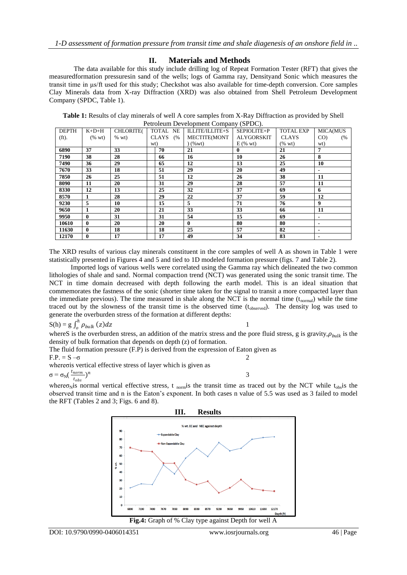### **II. Materials and Methods**

The data available for this study include drilling log of Repeat Formation Tester (RFT) that gives the measuredformation pressuresin sand of the wells; logs of Gamma ray, Densityand Sonic which measures the transit time in μs/ft used for this study; Checkshot was also available for time-depth conversion. Core samples Clay Minerals data from X-ray Diffraction (XRD) was also obtained from Shell Petroleum Development Company (SPDC, Table 1).

**Table 1:** Results of clay minerals of well A core samples from X-Ray Diffraction as provided by Shell Petroleum Development Company (SPDC).

| <b>DEPTH</b> | $K+D+H$         | <b>CHLORITE(</b> | TOTAL NE           | ILLITE/ILLITE+S | SEPIOLITE+P       | <b>TOTAL EXP</b> | MICA(MUS       |
|--------------|-----------------|------------------|--------------------|-----------------|-------------------|------------------|----------------|
| $(ft)$ .     | $(% \text{wt})$ | $%$ wt)          | <b>CLAYS</b><br>(% | MECTITE(MONT    | <b>ALYGORSKIT</b> | <b>CLAYS</b>     | $CO$ )<br>(%   |
|              |                 |                  | wt)                | (%wt)           | $E$ (% wt)        | $(% \text{ wt})$ | wt)            |
| 6890         | 37              | 33               | 70                 | 21              | $\bf{0}$          | 21               | 7              |
| 7190         | 38              | 28               | 66                 | 16              | 10                | 26               | 8              |
| 7490         | 36              | 29               | 65                 | 12              | 13                | 25               | 10             |
| 7670         | 33              | 18               | 51                 | 29              | 20                | 49               |                |
| 7850         | 26              | 25               | 51                 | 12              | 26                | 38               | 11             |
| 8090         | 11              | 20               | 31                 | 29              | 28                | 57               | 11             |
| 8330         | 12              | 13               | 25                 | 32              | 37                | 69               | 6              |
| 8570         | 1               | 28               | 29                 | 22              | 37                | 59               | 12             |
| 9230         | 5               | 10               | 15                 | 5               | 71                | 76               | 9              |
| 9650         | 1               | 20               | 21                 | 33              | 33                | 66               | 11             |
| 9950         | $\bf{0}$        | 31               | 31                 | 54              | 15                | 69               |                |
| 10610        | $\bf{0}$        | 20               | 20                 | $\mathbf{0}$    | 80                | 80               | $\blacksquare$ |
| 11630        | $\bf{0}$        | 18               | 18                 | 25              | 57                | 82               | $\blacksquare$ |
| 12170        | $\mathbf{0}$    | 17               | 17                 | 49              | 34                | 83               | $\blacksquare$ |

The XRD results of various clay minerals constituent in the core samples of well A as shown in Table 1 were statistically presented in Figures 4 and 5 and tied to 1D modeled formation pressure (figs. 7 and Table 2).

Imported logs of various wells were correlated using the Gamma ray which delineated the two common lithologies of shale and sand. Normal compaction trend (NCT) was generated using the sonic transit time. The NCT in time domain decreased with depth following the earth model. This is an ideal situation that commemorates the fastness of the sonic (shorter time taken for the signal to transit a more compacted layer than the immediate previous). The time measured in shale along the NCT is the normal time  $(t_{norma})$  while the time traced out by the slowness of the transit time is the observed time (tobserved). The density log was used to generate the overburden stress of the formation at different depths:

$$
S(h) = g \int_0^h \rho_{bulk}(z) dz
$$

1

whereS is the overburden stress, an addition of the matrix stress and the pore fluid stress, g is gravity,  $\rho_{bulk}$  is the density of bulk formation that depends on depth (z) of formation.

The fluid formation pressure (F.P) is derived from the expression of Eaton given as  $F.P. = S - \sigma$  2 whereσis vertical effective stress of layer which is given as

 $\frac{1}{3}$ 

$$
\sigma = \sigma_N(\frac{t_{norm}}{t_{obs}})
$$

where  $\sigma_N$  is normal vertical effective stress, t <sub>norm</sub> is the transit time as traced out by the NCT while t<sub>obs</sub> is the observed transit time and n is the Eaton's exponent. In both cases n value of 5.5 was used as 3 failed to model the RFT (Tables 2 and 3; Figs. 6 and 8).

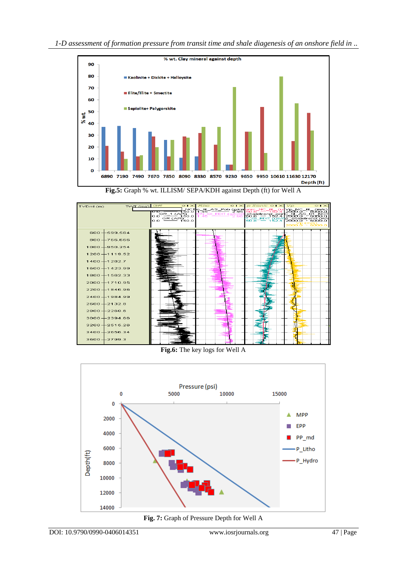

**Fig.5:** Graph % wt. ILLISM/ SEPA/KDH against Depth (ft) for Well A



**Fig.6:** The key logs for Well A



**Fig. 7:** Graph of Pressure Depth for Well A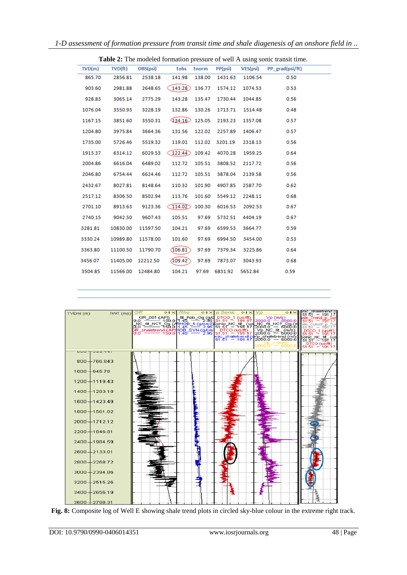| Table 2: The modeled formation pressure of well A using sonic transit time. |             |          |          |        |         |          |                 |
|-----------------------------------------------------------------------------|-------------|----------|----------|--------|---------|----------|-----------------|
| TVD(m)                                                                      | $TVD$ $ft)$ | OBS(psi) | tobs     | tnorm  | PP(psi) | VES(psi) | PP_grad(psi/ft) |
| 865.70                                                                      | 2856.81     | 2538.18  | 141.98   | 138.00 | 1431.63 | 1106.54  | 0.50            |
| 903.60                                                                      | 2981.88     | 2648.65  | 143.28   | 136.77 | 1574.12 | 1074.53  | 0.53            |
| 928.83                                                                      | 3065.14     | 2775.29  | 143.28   | 135.47 | 1730.44 | 1044.85  | 0.56            |
| 1076.04                                                                     | 3550.93     | 3228.19  | 132.86   | 130.26 | 1713.71 | 1514.48  | 0.48            |
| 1167.15                                                                     | 3851.60     | 3550.31  | 434.16   | 125.05 | 2193.23 | 1357.08  | 0.57            |
| 1204.80                                                                     | 3975.84     | 3664.36  | 131.56   | 122.02 | 2257.89 | 1406.47  | 0.57            |
| 1735.00                                                                     | 5726.46     | 5519.32  | 119.01   | 112.02 | 3201.19 | 2318.13  | 0.56            |
| 1913.37                                                                     | 6314.12     | 6029.53  | 122.44   | 109.42 | 4070.28 | 1959.25  | 0.64            |
| 2004.86                                                                     | 6616.04     | 6489.02  | 112.72   | 105.51 | 3808.52 | 2117.72  | 0.56            |
| 2046.80                                                                     | 6754.44     | 6624.46  | 112.72   | 105.51 | 3878.04 | 2139.58  | 0.56            |
| 2432.67                                                                     | 8027.81     | 8148.64  | 110.32   | 101.90 | 4907.85 | 2587.70  | 0.62            |
| 2517.12                                                                     | 8306.50     | 8502.94  | 113.76   | 101.60 | 5549.12 | 2248.11  | 0.68            |
| 2701.10                                                                     | 8913.63     | 9123.36  | 114.02   | 100.30 | 6016.53 | 2092.53  | 0.67            |
| 2740.15                                                                     | 9042.50     | 9607.43  | 105.51   | 97.69  | 5732.51 | 4404.19  | 0.67            |
| 3281.81                                                                     | 10830.00    | 11597.50 | 104.21   | 97.69  | 6599.53 | 3664.77  | 0.59            |
| 3330.24                                                                     | 10989.80    | 11578.00 | 101.60   | 97.69  | 6994.50 | 3454.00  | 0.53            |
| 3363.80                                                                     | 11100.50    | 11790.70 | (106.81) | 97.69  | 7379.34 | 3225.86  | 0.64            |
| 3456.07                                                                     | 11405.00    | 12212.50 | (109.42) | 97.69  | 7873.07 | 3043.93  | 0.68            |
| 3504.85                                                                     | 11566.00    | 12484.80 | 104.21   | 97.69  | 6831.92 | 5652.84  | 0.59            |



**Fig. 8:** Composite log of Well E showing shale trend plots in circled sky-blue colour in the extreme right track.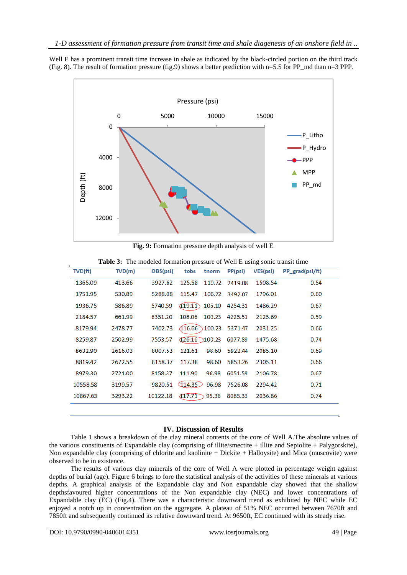Well E has a prominent transit time increase in shale as indicated by the black-circled portion on the third track (Fig. 8). The result of formation pressure (fig.9) shows a better prediction with  $n=5.5$  for PP\_md than  $n=3$  PPP.



**Fig. 9:** Formation pressure depth analysis of well E

| $TVD$ $ft)$ | TVD(m)  | OBS(psi) | tobs<br>tnorm              | PP(psi) | VES(psi) | PP grad(psi/ft) |
|-------------|---------|----------|----------------------------|---------|----------|-----------------|
| 1365.09     | 413.66  | 3927.62  | 125.58<br>119.72           | 2419.08 | 1508.54  | 0.54            |
| 1751.95     | 530.89  | 5288.08  | 115.47<br>106.72           | 3492.07 | 1796.01  | 0.60            |
| 1936.75     | 586.89  | 5740.59  | (19.1)<br>105.10           | 4254.31 | 1486.29  | 0.67            |
| 2184.57     | 661.99  | 6351.20  | 108.06<br>100.23           | 4225.51 | 2125.69  | 0.59            |
| 8179.94     | 2478.77 | 7402.73  | (116.66)<br>100.23         | 5371.47 | 2031.25  | 0.66            |
| 8259.87     | 2502.99 | 7553.57  | $\sqrt{126.16}$<br>5100.23 | 6077.89 | 1475.68  | 0.74            |
| 8632.90     | 2616.03 | 8007.53  | 121.61<br>98.60            | 5922.44 | 2085.10  | 0.69            |
| 8819.42     | 2672.55 | 8158.37  | 98.60<br>117.38            | 5853.26 | 2305.11  | 0.66            |
| 8979.30     | 2721.00 | 8158.37  | 111.90<br>96.98            | 6051.59 | 2106.78  | 0.67            |
| 10558.58    | 3199.57 | 9820.51  | (114.35)<br>96.98          | 7526.08 | 2294.42  | 0.71            |
| 10867.63    | 3293.22 | 10122.18 | 417.71<br>95.36            | 8085.33 | 2036.86  | 0.74            |
|             |         |          |                            |         |          |                 |

**Table 3:** The modeled formation pressure of Well E using sonic transit time

### **IV. Discussion of Results**

Table 1 shows a breakdown of the clay mineral contents of the core of Well A.The absolute values of the various constituents of Expandable clay (comprising of illite/smectite + illite and Sepiolite + Palygorskite), Non expandable clay (comprising of chlorite and kaolinite + Dickite + Halloysite) and Mica (muscovite) were observed to be in existence.

The results of various clay minerals of the core of Well A were plotted in percentage weight against depths of burial (age). Figure 6 brings to fore the statistical analysis of the activities of these minerals at various depths. A graphical analysis of the Expandable clay and Non expandable clay showed that the shallow depthsfavoured higher concentrations of the Non expandable clay (NEC) and lower concentrations of Expandable clay (EC) (Fig.4). There was a characteristic downward trend as exhibited by NEC while EC enjoyed a notch up in concentration on the aggregate. A plateau of 51% NEC occurred between 7670ft and 7850ft and subsequently continued its relative downward trend. At 9650ft, EC continued with its steady rise.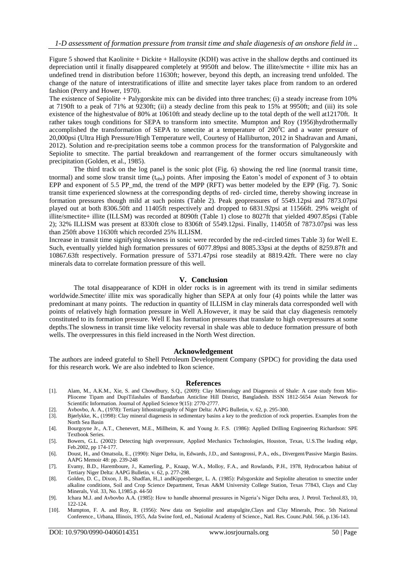Figure 5 showed that Kaolinite + Dickite + Halloysite (KDH) was active in the shallow depths and continued its depreciation until it finally disappeared completely at 9950ft and below. The illite/smectite + illite mix has an undefined trend in distribution before 11630ft; however, beyond this depth, an increasing trend unfolded. The change of the nature of interstratifications of illite and smectite layer takes place from random to an ordered fashion (Perry and Hower, 1970).

The existence of Sepiolite + Palygorskite mix can be divided into three tranches; (i) a steady increase from 10% at 7190ft to a peak of 71% at 9230ft; (ii) a steady decline from this peak to 15% at 9950ft; and (iii) its sole existence of the highestvalue of 80% at 10610ft and steady decline up to the total depth of the well at12170ft. It rather takes tough conditions for SEPA to transform into smectite. Mumpton and Roy (1956)hydrothermally accomplished the transformation of SEPA to smectite at a temperature of  $200^{\circ}$ C and a water pressure of 20,000psi (Ultra High Pressure/High Temperature well, Courtesy of Halliburton, 2012 in Shadravan and Amani, 2012). Solution and re-precipitation seems tobe a common process for the transformation of Palygorskite and Sepiolite to smectite. The partial breakdown and rearrangement of the former occurs simultaneously with precipitation (Golden, et al., 1985).

The third track on the log panel is the sonic plot (Fig. 6) showing the red line (normal transit time, tnormal) and some slow transit time  $(t_{obs})$  points. After imposing the Eaton's model of exponent of 3 to obtain EPP and exponent of 5.5 PP\_md, the trend of the MPP (RFT) was better modeled by the EPP (Fig. 7). Sonic transit time experienced slowness at the corresponding depths of red- circled time, thereby showing increase in formation pressures though mild at such points (Table 2). Peak geopressures of 5549.12psi and 7873.07psi played out at both 8306.50ft and 11405ft respectively and dropped to 6831.92psi at 11566ft. 29% weight of illite/smectite+ illite (ILLSM) was recorded at 8090ft (Table 1) close to 8027ft that yielded 4907.85psi (Table 2); 32% ILLISM was present at 8330ft close to 8306ft of 5549.12psi. Finally, 11405ft of 7873.07psi was less than 250ft above 11630ft which recorded 25% ILLISM.

Increase in transit time signifying slowness in sonic were recorded by the red-circled times Table 3) for Well E. Such, eventually yielded high formation pressures of 6077.89psi and 8085.33psi at the depths of 8259.87ft and 10867.63ft respectively. Formation pressure of 5371.47psi rose steadily at 8819.42ft. There were no clay minerals data to correlate formation pressure of this well.

#### **V. Conclusion**

The total disappearance of KDH in older rocks is in agreement with its trend in similar sediments worldwide.Smectite/ illite mix was sporadically higher than SEPA at only four (4) points while the latter was predominant at many points. The reduction in quantity of ILLISM in clay minerals data corresponded well with points of relatively high formation pressure in Well A.However, it may be said that clay diagenesis remotely constituted to its formation pressure. Well E has formation pressures that translate to high overpressures at some depths.The slowness in transit time like velocity reversal in shale was able to deduce formation pressure of both wells. The overpressures in this field increased in the North West direction.

#### **Acknowledgement**

The authors are indeed grateful to Shell Petroleum Development Company (SPDC) for providing the data used for this research work. We are also indebted to Ikon science.

#### **References**

- [1]. Alam, M., A.K.M., Xie, S. and Chowdbury, S.Q., (2009): Clay Mineralogy and Diagenesis of Shale: A case study from Mio-Pliocene Tipam and DupiTilashales of Bandarban Anticline Hill District, Bangladesh. ISSN 1812-5654 Asian Network for Scientific Information. Journal of Applied Science 9(15): 2770-2777.
- [2]. Avbovbo, A. A., (1978): Tertiary lithostratigraphy of Niger Delta: AAPG Bulletin, v. 62, p. 295-300.
- [3]. Bjørlykke, K., (1998): Clay mineral diagenesis in sedimentary basins a key to the prediction of rock properties. Examples from the North Sea Basin
- [4]. Bourgoyne Jr., A.T., Chenevert, M.E., Millheim, K. and Young Jr. F.S. (1986): Applied Drilling Engineering Richardson: SPE Textbook Series.
- [5]. Bowers, G.L. (2002): Detecting high overpressure, Applied Mechanics Technologies, Houston, Texas, U.S.The leading edge, Feb.2002, pp 174-177.
- [6]. Doust, H., and Omatsola, E., (1990): Niger Delta, in, Edwards, J.D., and Santogrossi, P.A., eds., Divergent/Passive Margin Basins. AAPG Memoir 48: pp. 239-248
- [7]. Evamy, B.D., Haremboure, J., Kamerling, P., Knaap, W.A., Molloy, F.A., and Rowlands, P.H., 1978, Hydrocarbon habitat of Tertiary Niger Delta: AAPG Bulletin, v. 62, p. 277-298.
- [8]. Golden, D. C., Dixon, J. B., Shadfan, H.,1 andKippenberger, L. A. (1985): Palygorskite and Sepiolite alteration to smectite under alkaline conditions, Soil and Crop Science Department, Texas A&M University College Station, Texas 77843, Clays and Clay Minerals*,* Vol. 33, No. I,1985.p. 44-50
- [9]. Ichara M.J. and Avbovbo A.A. (1985): How to handle abnormal pressures in Nigeria's Niger Delta area, J. Petrol. Technol.83, 10, 122-124.
- [10]. Mumpton, F. A. and Roy, R. (1956): New data on Sepiolite and attapulgite,Clays and Clay Minerals, Proc. 5th National Conference., Urbana, Illinois, 1955*,* Ada Swine ford, ed., National Academy of Science., Natl. Res. Counc.Publ. 566, p.136-143.